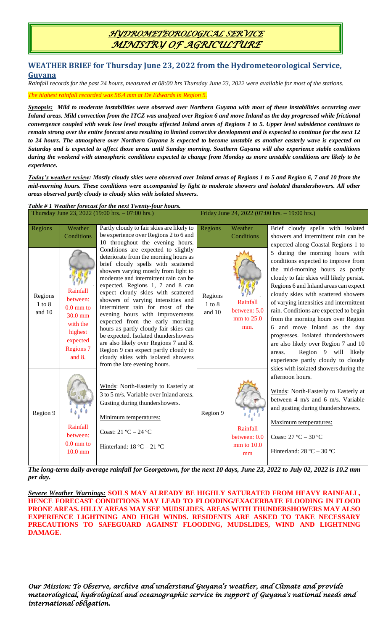## *HYDROMETEOROLOGICAL SERVICE MINISTRY OF AGRICULTURE*

## **WEATHER BRIEF for Thursday June 23, 2022 from the Hydrometeorological Service, Guyana**

*Rainfall records for the past 24 hours, measured at 08:00 hrs Thursday June 23, 2022 were available for most of the stations.*

*The highest rainfall recorded was 56.4 mm at De Edwards in Region 5.*

*Synopsis: Mild to moderate instabilities were observed over Northern Guyana with most of these instabilities occurring over Inland areas. Mild convection from the ITCZ was analyzed over Region 6 and move Inland as the day progressed while frictional convergence coupled with weak low level troughs affected Inland areas of Regions 1 to 5. Upper level subsidence continues to remain strong over the entire forecast area resulting in limited convective development and is expected to continue for the next 12 to 24 hours. The atmosphere over Northern Guyana is expected to become unstable as another easterly wave is expected on Saturday and is expected to affect those areas until Sunday morning. Southern Guyana will also experience stable conditions during the weekend with atmospheric conditions expected to change from Monday as more unstable conditions are likely to be experience.*

*Today's weather review: Mostly cloudy skies were observed over Inland areas of Regions 1 to 5 and Region 6, 7 and 10 from the mid-morning hours. These conditions were accompanied by light to moderate showers and isolated thundershowers. All other areas observed partly cloudy to cloudy skies with isolated showers.* 

|                                 |                                                                                                                             | Table #1 Weather forecast for the next Twenty-four hours.<br>Thursday June 23, 2022 (19:00 hrs. - 07:00 hrs.)                                                                                                                                                                                                                                                                                                                                                                                                                                                                                                                                                          | Friday June 24, 2022 (07:00 hrs. - 19:00 hrs.) |                                                   |                                                                                                                                                                                                                                                                                                                                                                                                                                                                                                                                                          |
|---------------------------------|-----------------------------------------------------------------------------------------------------------------------------|------------------------------------------------------------------------------------------------------------------------------------------------------------------------------------------------------------------------------------------------------------------------------------------------------------------------------------------------------------------------------------------------------------------------------------------------------------------------------------------------------------------------------------------------------------------------------------------------------------------------------------------------------------------------|------------------------------------------------|---------------------------------------------------|----------------------------------------------------------------------------------------------------------------------------------------------------------------------------------------------------------------------------------------------------------------------------------------------------------------------------------------------------------------------------------------------------------------------------------------------------------------------------------------------------------------------------------------------------------|
| Regions                         | Weather<br>Conditions                                                                                                       | Partly cloudy to fair skies are likely to<br>be experience over Regions 2 to 6 and<br>10 throughout the evening hours.                                                                                                                                                                                                                                                                                                                                                                                                                                                                                                                                                 | Regions                                        | Weather<br>Conditions                             | Brief cloudy spells with isolated<br>showers and intermittent rain can be<br>expected along Coastal Regions 1 to                                                                                                                                                                                                                                                                                                                                                                                                                                         |
| Regions<br>$1$ to $8$<br>and 10 | Rainfall<br>between:<br>$0.0 \text{ mm}$ to<br>$30.0$ mm<br>with the<br>highest<br>expected<br><b>Regions 7</b><br>and $8.$ | Conditions are expected to slightly<br>deteriorate from the morning hours as<br>brief cloudy spells with scattered<br>showers varying mostly from light to<br>moderate and intermittent rain can be<br>expected. Regions 1, 7 and 8 can<br>expect cloudy skies with scattered<br>showers of varying intensities and<br>intermittent rain for most of the<br>evening hours with improvements<br>expected from the early morning<br>hours as partly cloudy fair skies can<br>be expected. Isolated thundershowers<br>are also likely over Regions 7 and 8.<br>Region 9 can expect partly cloudy to<br>cloudy skies with isolated showers<br>from the late evening hours. | Regions<br>$1$ to $8$<br>and 10                | Rainfall<br>between: 5.0<br>$mm$ to $25.0$<br>mm. | 5 during the morning hours with<br>conditions expected to improve from<br>the mid-morning hours as partly<br>cloudy to fair skies will likely persist.<br>Regions 6 and Inland areas can expect<br>cloudy skies with scattered showers<br>of varying intensities and intermittent<br>rain. Conditions are expected to begin<br>from the morning hours over Region<br>6 and move Inland as the day<br>progresses. Isolated thundershowers<br>are also likely over Region 7 and 10<br>Region 9 will likely<br>areas.<br>experience partly cloudy to cloudy |
| Region 9                        | Rainfall<br>between:<br>$0.0 \text{ mm}$ to<br>$10.0$ mm                                                                    | Winds: North-Easterly to Easterly at<br>3 to 5 m/s. Variable over Inland areas.<br>Gusting during thundershowers.<br>Minimum temperatures:<br>Coast: $21 °C - 24 °C$<br>Hinterland: $18 °C - 21 °C$                                                                                                                                                                                                                                                                                                                                                                                                                                                                    | Region 9                                       | Rainfall<br>between: 0.0<br>$mm$ to $10.0$<br>mm  | skies with isolated showers during the<br>afternoon hours.<br>Winds: North-Easterly to Easterly at<br>between 4 m/s and 6 m/s. Variable<br>and gusting during thundershowers.<br>Maximum temperatures:<br>Coast: $27^{\circ}$ C - $30^{\circ}$ C<br>Hinterland: $28 °C - 30 °C$                                                                                                                                                                                                                                                                          |

*The long-term daily average rainfall for Georgetown, for the next 10 days, June 23, 2022 to July 02, 2022 is 10.2 mm per day.*

*Severe Weather Warnings:* **SOILS MAY ALREADY BE HIGHLY SATURATED FROM HEAVY RAINFALL, HENCE FORECAST CONDITIONS MAY LEAD TO FLOODING/EXACERBATE FLOODING IN FLOOD PRONE AREAS. HILLY AREAS MAY SEE MUDSLIDES. AREAS WITH THUNDERSHOWERS MAY ALSO EXPERIENCE LIGHTNING AND HIGH WINDS. RESIDENTS ARE ASKED TO TAKE NECESSARY PRECAUTIONS TO SAFEGUARD AGAINST FLOODING, MUDSLIDES, WIND AND LIGHTNING DAMAGE.**

*Our Mission: To Observe, archive and understand Guyana's weather, and Climate and provide meteorological, hydrological and oceanographic service in support of Guyana's national needs and international obligation.*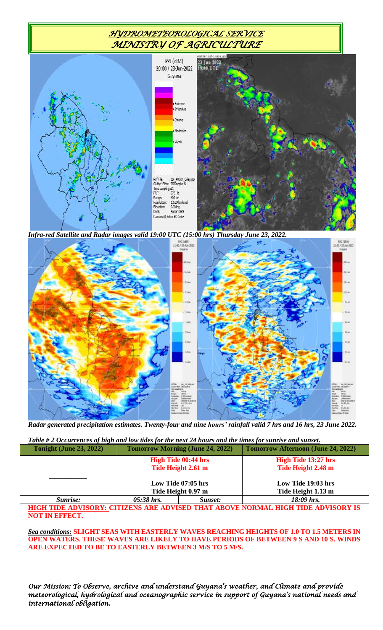## *HYDROMETEOROLOGICAL SERVICE MINISTRY OF AGRICULTURE*



*Infra-red Satellite and Radar images valid 19:00 UTC (15:00 hrs) Thursday June 23, 2022.*



*Radar generated precipitation estimates. Twenty-four and nine hours' rainfall valid 7 hrs and 16 hrs, 23 June 2022.*

*Table # 2 Occurrences of high and low tides for the next 24 hours and the times for sunrise and sunset.*

| <b>Tonight (June 23, 2022)</b> | <b>Tomorrow Morning (June 24, 2022)</b> |         | <b>Tomorrow Afternoon (June 24, 2022)</b> |  |
|--------------------------------|-----------------------------------------|---------|-------------------------------------------|--|
|                                | <b>High Tide 00:44 hrs</b>              |         | <b>High Tide 13:27 hrs</b>                |  |
|                                | Tide Height 2.61 m                      |         | Tide Height 2.48 m                        |  |
|                                | Low Tide 07:05 hrs                      |         | Low Tide 19:03 hrs                        |  |
|                                | Tide Height 0.97 m                      |         | Tide Height 1.13 m                        |  |
| Sunrise:                       | $05:38$ hrs.                            | Sunset: | 18:09 hrs.                                |  |

**HIGH TIDE ADVISORY: CITIZENS ARE ADVISED THAT ABOVE NORMAL HIGH TIDE ADVISORY IS NOT IN EFFECT.**

*Sea conditions:* **SLIGHT SEAS WITH EASTERLY WAVES REACHING HEIGHTS OF 1.0 TO 1.5 METERS IN OPEN WATERS. THESE WAVES ARE LIKELY TO HAVE PERIODS OF BETWEEN 9 S AND 10 S. WINDS ARE EXPECTED TO BE TO EASTERLY BETWEEN 3 M/S TO 5 M/S.**

*Our Mission: To Observe, archive and understand Guyana's weather, and Climate and provide meteorological, hydrological and oceanographic service in support of Guyana's national needs and international obligation.*